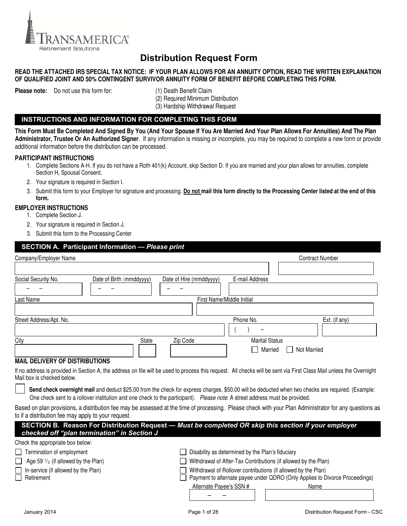

# **Distribution Request Form**

#### **READ THE ATTACHED IRS SPECIAL TAX NOTICE: IF YOUR PLAN ALLOWS FOR AN ANNUITY OPTION, READ THE WRITTEN EXPLANATION OF QUALIFIED JOINT AND 50% CONTINGENT SURVIVOR ANNUITY FORM OF BENEFIT BEFORE COMPLETING THIS FORM.**

**Please note:** Do not use this form for: (1) Death Benefit Claim

 (2) Required Minimum Distribution (3) Hardship Withdrawal Request

#### **INSTRUCTIONS AND INFORMATION FOR COMPLETING THIS FORM**

**This Form Must Be Completed And Signed By You (And Your Spouse If You Are Married And Your Plan Allows For Annuities) And The Plan Administrator, Trustee Or An Authorized Signer**. If any information is missing or incomplete, you may be required to complete a new form or provide additional information before the distribution can be processed.

#### **PARTICIPANT INSTRUCTIONS**

- 1. Complete Sections A-H. If you do not have a Roth 401(k) Account, skip Section D. If you are married and your plan allows for annuities, complete Section H, Spousal Consent.
- 2. Your signature is required in Section I.
- 3. Submit this form to your Employer for signature and processing. Do not mail this form directly to the Processing Center listed at the end of this **form.**

#### **EMPLOYER INSTRUCTIONS**

- 1. Complete Section J.
- 2. Your signature is required in Section J.
- 3. Submit this form to the Processing Center

#### **SECTION A. Participant Information —** *Please print*

| Company/Employer Name                                                                                                       | <b>Contract Number</b>                                                                                                                                                                                                                                                                                                   |
|-----------------------------------------------------------------------------------------------------------------------------|--------------------------------------------------------------------------------------------------------------------------------------------------------------------------------------------------------------------------------------------------------------------------------------------------------------------------|
|                                                                                                                             |                                                                                                                                                                                                                                                                                                                          |
| Social Security No.<br>Date of Birth (mmddyyyy)                                                                             | E-mail Address<br>Date of Hire (mmddyyyy)                                                                                                                                                                                                                                                                                |
|                                                                                                                             |                                                                                                                                                                                                                                                                                                                          |
| Last Name                                                                                                                   | First Name/Middle Initial                                                                                                                                                                                                                                                                                                |
|                                                                                                                             |                                                                                                                                                                                                                                                                                                                          |
| Street Address/Apt. No.                                                                                                     | Phone No.<br>Ext. (if any)                                                                                                                                                                                                                                                                                               |
|                                                                                                                             |                                                                                                                                                                                                                                                                                                                          |
| <b>State</b><br>City                                                                                                        | Zip Code<br><b>Marital Status</b>                                                                                                                                                                                                                                                                                        |
|                                                                                                                             | Married<br><b>Not Married</b>                                                                                                                                                                                                                                                                                            |
| <b>MAIL DELIVERY OF DISTRIBUTIONS</b>                                                                                       |                                                                                                                                                                                                                                                                                                                          |
| Mail box is checked below.                                                                                                  | If no address is provided in Section A, the address on file will be used to process this request. All checks will be sent via First Class Mail unless the Overnight<br>Send check overnight mail and deduct \$25.00 from the check for express charges. \$50.00 will be deducted when two checks are required. (Example: |
| One check sent to a rollover institution and one check to the participant). Please note: A street address must be provided. |                                                                                                                                                                                                                                                                                                                          |
| to if a distribution fee may apply to your request.                                                                         | Based on plan provisions, a distribution fee may be assessed at the time of processing. Please check with your Plan Administrator for any questions as                                                                                                                                                                   |
| checked off "plan termination" in Section J                                                                                 | SECTION B. Reason For Distribution Request - Must be completed OR skip this section if your employer                                                                                                                                                                                                                     |
| Check the appropriate box below:                                                                                            |                                                                                                                                                                                                                                                                                                                          |
| Termination of employment                                                                                                   | Disability as determined by the Plan's fiduciary                                                                                                                                                                                                                                                                         |
| Age 59 $\frac{1}{2}$ (if allowed by the Plan)                                                                               | Withdrawal of After-Tax Contributions (if allowed by the Plan)                                                                                                                                                                                                                                                           |
| In-service (if allowed by the Plan)                                                                                         | Withdrawal of Rollover contributions (if allowed by the Plan)                                                                                                                                                                                                                                                            |
| Retirement                                                                                                                  | Payment to alternate payee under QDRO (Only Applies to Divorce Proceedings)                                                                                                                                                                                                                                              |
|                                                                                                                             | Alternate Payee's SSN #<br>Name                                                                                                                                                                                                                                                                                          |
|                                                                                                                             |                                                                                                                                                                                                                                                                                                                          |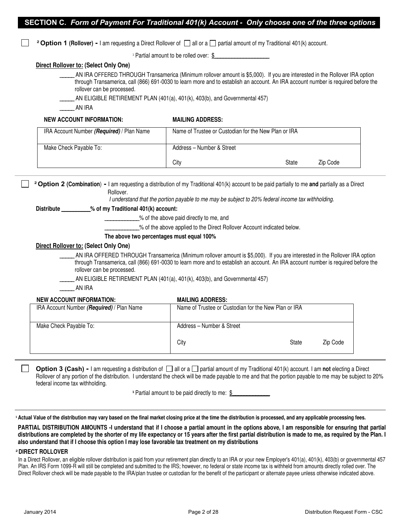|  |  |  |  | SECTION C. Form of Payment For Traditional 401(k) Account - Only choose one of the three options |  |
|--|--|--|--|--------------------------------------------------------------------------------------------------|--|
|--|--|--|--|--------------------------------------------------------------------------------------------------|--|

**<sup>2</sup> Option 1 (Rollover) - I am requesting a Direct Rollover of**  $\Box$  **all or a**  $\Box$  **partial amount of my Traditional 401(k) account.** 

 $\textdegree$  Partial amount to be rolled over: \$

#### **Direct Rollover to: (Select Only One)**

\_\_\_\_\_ AN IRA OFFERED THROUGH Transamerica (Minimum rollover amount is \$5,000). If you are interested in the Rollover IRA option through Transamerica, call (866) 691-0030 to learn more and to establish an account. An IRA account number is required before the rollover can be processed.

AN ELIGIBLE RETIREMENT PLAN (401(a), 401(k), 403(b), and Governmental 457)

\_\_\_\_\_ AN IRA

#### **NEW ACCOUNT INFORMATION: MAILING ADDRESS:**

| IRA Account Number (Required) / Plan Name | Name of Trustee or Custodian for the New Plan or IRA |       |          |
|-------------------------------------------|------------------------------------------------------|-------|----------|
| Make Check Payable To:                    | Address - Number & Street                            |       |          |
|                                           | City                                                 | State | Zip Code |

 **²Option 2 (Combination**) **-** I am requesting a distribution of my Traditional 401(k) account to be paid partially to me **and** partially as a Direct Rollover.

I understand that the portion payable to me may be subject to 20% federal income tax withholding.

#### **Distribute \_\_\_\_\_\_\_\_\_\_% of my Traditional 401(k) account:**

- \_\_\_\_\_\_\_\_\_\_\_\_% of the above paid directly to me, and
- \_\_\_\_\_\_\_\_\_\_\_\_% of the above applied to the Direct Rollover Account indicated below.

#### **The above two percentages must equal 100%**

#### **Direct Rollover to: (Select Only One)**

AN IRA OFFERED THROUGH Transamerica (Minimum rollover amount is \$5,000). If you are interested in the Rollover IRA option through Transamerica, call (866) 691-0030 to learn more and to establish an account. An IRA account number is required before the rollover can be processed.

- AN ELIGIBLE RETIREMENT PLAN (401(a), 401(k), 403(b), and Governmental 457)
- \_\_\_\_\_ AN IRA

#### **NEW ACCOUNT INFORMATION: MAILING ADDRESS:**

| IRA Account Number (Required) / Plan Name | Name of Trustee or Custodian for the New Plan or IRA |       |          |
|-------------------------------------------|------------------------------------------------------|-------|----------|
| Make Check Payable To:                    | Address - Number & Street                            |       |          |
|                                           | City                                                 | State | Zip Code |

**Option 3 (Cash)** - I am requesting a distribution of  $\Box$  all or a  $\Box$  partial amount of my Traditional 401(k) account. I am not electing a Direct Rollover of any portion of the distribution. I understand the check will be made payable to me and that the portion payable to me may be subject to 20% federal income tax withholding.

**Partial amount to be paid directly to me: \$** 

**<sup>¹</sup>Actual Value of the distribution may vary based on the final market closing price at the time the distribution is processed, and any applicable processing fees.** 

**PARTIAL DISTRIBUTION AMOUNTS -I understand that if I choose a partial amount in the options above, I am responsible for ensuring that partial distributions are completed by the shorter of my life expectancy or 15 years after the first partial distribution is made to me, as required by the Plan. I also understand that if I choose this option I may lose favorable tax treatment on my distributions** 

#### **²DIRECT ROLLOVER**

In a Direct Rollover, an eligible rollover distribution is paid from your retirement plan directly to an IRA or your new Employer's 401(a), 401(k), 403(b) or governmental 457 Plan. An IRS Form 1099-R will still be completed and submitted to the IRS; however, no federal or state income tax is withheld from amounts directly rolled over. The Direct Rollover check will be made payable to the IRA/plan trustee or custodian for the benefit of the participant or alternate payee unless otherwise indicated above.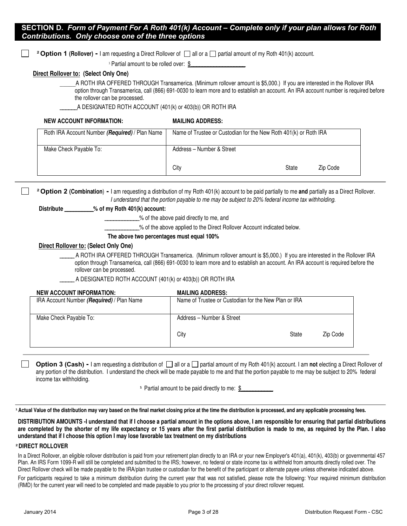#### **SECTION D.** *Form of Payment For A Roth 401(k) Account – Complete only if your plan allows for Roth Contributions. Only choose one of the three options*

**<sup>2</sup> Option 1 (Rollover) - I am requesting a Direct Rollover of**  $\Box$  **all or a**  $\Box$  **partial amount of my Roth 401(k) account.** 

<sup>1</sup> Partial amount to be rolled over: \$

#### **Direct Rollover to: (Select Only One)**

A ROTH IRA OFFERED THROUGH Transamerica. (Minimum rollover amount is \$5,000.) If you are interested in the Rollover IRA option through Transamerica, call (866) 691-0030 to learn more and to establish an account. An IRA account number is required before the rollover can be processed.

A DESIGNATED ROTH ACCOUNT (401(k) or 403(b)) OR ROTH IRA

#### **NEW ACCOUNT INFORMATION: MAILING ADDRESS:** Roth IRA Account Number **(Required)** / Plan Name Name of Trustee or Custodian for the New Roth 401(k) or Roth IRA Make Check Payable To: Address – Number & Street City **State** Zip Code

 **²Option 2 (Combination**) **-** I am requesting a distribution of my Roth 401(k) account to be paid partially to me **and** partially as a Direct Rollover. I understand that the portion payable to me may be subject to 20% federal income tax withholding.

**Distribute \_\_\_\_\_\_\_\_\_\_% of my Roth 401(k) account:** 

\_\_\_\_\_\_\_\_\_\_\_\_% of the above paid directly to me, and

 $\_\%$  of the above applied to the Direct Rollover Account indicated below.

#### **The above two percentages must equal 100%**

#### **Direct Rollover to: (Select Only One)**

A ROTH IRA OFFERED THROUGH Transamerica. (Minimum rollover amount is \$5,000.) If you are interested in the Rollover IRA option through Transamerica, call (866) 691-0030 to learn more and to establish an account. An IRA account is required before the rollover can be processed.

\_\_\_\_\_ A DESIGNATED ROTH ACCOUNT (401(k) or 403(b)) OR ROTH IRA

#### **NEW ACCOUNT INFORMATION: MAILING ADDRESS:**

| IRA Account Number (Required) / Plan Name | Name of Trustee or Custodian for the New Plan or IRA |       |          |
|-------------------------------------------|------------------------------------------------------|-------|----------|
| Make Check Payable To:                    | Address - Number & Street                            |       |          |
|                                           | City                                                 | State | Zip Code |

#### **Option 3 (Cash)** - I am requesting a distribution of  $\Box$  all or a  $\Box$  partial amount of my Roth 401(k) account. I am **not** electing a Direct Rollover of any portion of the distribution. I understand the check will be made payable to me and that the portion payable to me may be subject to 20% federal income tax withholding.

<sup>1</sup> Partial amount to be paid directly to me: \$

<sup>1</sup> Actual Value of the distribution may vary based on the final market closing price at the time the distribution is processed, and any applicable processing fees.

**DISTRIBUTION AMOUNTS -I understand that if I choose a partial amount in the options above, I am responsible for ensuring that partial distributions are completed by the shorter of my life expectancy or 15 years after the first partial distribution is made to me, as required by the Plan. I also understand that if I choose this option I may lose favorable tax treatment on my distributions** 

#### **²DIRECT ROLLOVER**

In a Direct Rollover, an eligible rollover distribution is paid from your retirement plan directly to an IRA or your new Employer's 401(a), 401(k), 403(b) or governmental 457 Plan. An IRS Form 1099-R will still be completed and submitted to the IRS; however, no federal or state income tax is withheld from amounts directly rolled over. The Direct Rollover check will be made payable to the IRA/plan trustee or custodian for the benefit of the participant or alternate payee unless otherwise indicated above.

For participants required to take a minimum distribution during the current year that was not satisfied, please note the following: Your required minimum distribution (RMD) for the current year will need to be completed and made payable to you prior to the processing of your direct rollover request.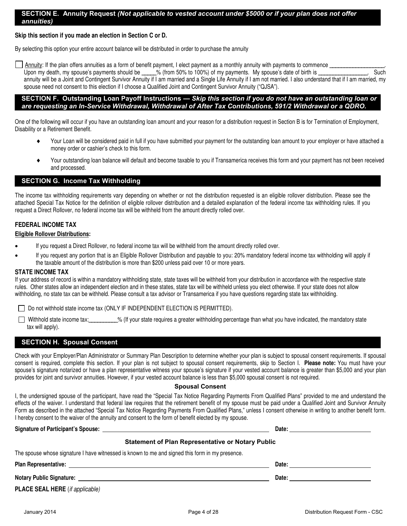#### **SECTION E. Annuity Request** *(Not applicable to vested account under \$5000 or if your plan does not offer annuities)*

#### **Skip this section if you made an election in Section C or D.**

By selecting this option your entire account balance will be distributed in order to purchase the annuity

Annuity: If the plan offers annuities as a form of benefit payment, I elect payment as a monthly annuity with payments to commence Upon my death, my spouse's payments should be \_\_\_\_\_% (from 50% to 100%) of my payments. My spouse's date of birth is \_\_\_\_\_\_\_\_\_\_\_\_\_\_\_\_. Such annuity will be a Joint and Contingent Survivor Annuity if I am married and a Single Life Annuity if I am not married. I also understand that if I am married, my spouse need not consent to this election if I choose a Qualified Joint and Contingent Survivor Annuity ("QJSA").

#### **SECTION F. Outstanding Loan Payoff Instructions —** *Skip this section if you do not have an outstanding loan or are requesting an In-Service Withdrawal, Withdrawal of After Tax Contributions, 591/2 Withdrawal or a QDRO.*

One of the following will occur if you have an outstanding loan amount and your reason for a distribution request in Section B is for Termination of Employment, Disability or a Retirement Benefit.

- Your Loan will be considered paid in full if you have submitted your payment for the outstanding loan amount to your employer or have attached a money order or cashier's check to this form.
- Your outstanding loan balance will default and become taxable to you if Transamerica receives this form and your payment has not been received and processed.

#### **SECTION G. Income Tax Withholding**

The income tax withholding requirements vary depending on whether or not the distribution requested is an eligible rollover distribution. Please see the attached Special Tax Notice for the definition of eligible rollover distribution and a detailed explanation of the federal income tax withholding rules. If you request a Direct Rollover, no federal income tax will be withheld from the amount directly rolled over.

#### **FEDERAL INCOME TAX**

#### **Eligible Rollover Distributions:**

- If you request a Direct Rollover, no federal income tax will be withheld from the amount directly rolled over.
- If you request any portion that is an Eligible Rollover Distribution and payable to you: 20% mandatory federal income tax withholding will apply if the taxable amount of the distribution is more than \$200 unless paid over 10 or more years.

#### **STATE INCOME TAX**

If your address of record is within a mandatory withholding state, state taxes will be withheld from your distribution in accordance with the respective state rules. Other states allow an independent election and in these states, state tax will be withheld unless you elect otherwise. If your state does not allow withholding, no state tax can be withheld. Please consult a tax advisor or Transamerica if you have questions regarding state tax withholding.

□ Do not withhold state income tax (ONLY IF INDEPENDENT ELECTION IS PERMITTED).

Withhold state income tax:\_\_\_\_\_\_\_\_\_% (If your state requires a greater withholding percentage than what you have indicated, the mandatory state tax will apply).

#### **SECTION H. Spousal Consent**

Check with your Employer/Plan Administrator or Summary Plan Description to determine whether your plan is subject to spousal consent requirements. If spousal consent is required, complete this section. If your plan is not subject to spousal consent requirements, skip to Section I. **Please note:** You must have your spouse's signature notarized or have a plan representative witness your spouse's signature if your vested account balance is greater than \$5,000 and your plan provides for joint and survivor annuities. However, if your vested account balance is less than \$5,000 spousal consent is not required.

#### **Spousal Consent**

I, the undersigned spouse of the participant, have read the "Special Tax Notice Regarding Payments From Qualified Plans" provided to me and understand the effects of the waiver. I understand that federal law requires that the retirement benefit of my spouse must be paid under a Qualified Joint and Survivor Annuity Form as described in the attached "Special Tax Notice Regarding Payments From Qualified Plans," unless I consent otherwise in writing to another benefit form. I hereby consent to the waiver of the annuity and consent to the form of benefit elected by my spouse.

**Signature of Participant's Spouse:**  Date: **Date: Date: Date: Date: Date: Date: Date: Date: Date: Date: Date: Date: Date: Date: Date: Date: Date: Date: Date: Date: Date: Date: D** 

#### **Statement of Plan Representative or Notary Public**

|  |  | The spouse whose signature I have witnessed is known to me and signed this form in my presence. |
|--|--|-------------------------------------------------------------------------------------------------|
|  |  |                                                                                                 |
|  |  |                                                                                                 |

Plan Representative: **Date: Plan Representative: Date: Date: Date: Date: Date: Date: Date: Date: Date: Date: Date: Date: Date: Date: Date: Date: Date: Date: Date: Date: Date: D** 

**Notary Public Signature: Date:** 

**PLACE SEAL HERE** (if applicable)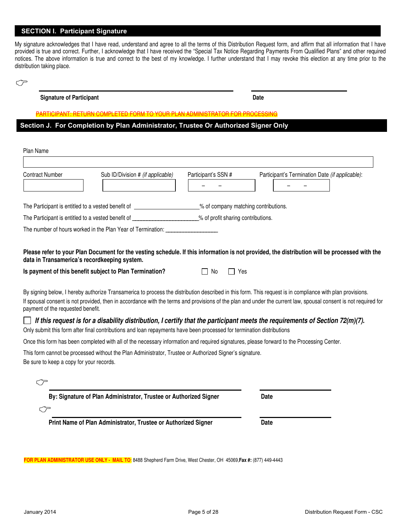#### **SECTION I. Participant Signature**

My signature acknowledges that I have read, understand and agree to all the terms of this Distribution Request form, and affirm that all information that I have provided is true and correct. Further, I acknowledge that I have received the "Special Tax Notice Regarding Payments From Qualified Plans" and other required notices. The above information is true and correct to the best of my knowledge. I further understand that I may revoke this election at any time prior to the distribution taking place.

**Signature of Participant Date** 

PARTICIPANT: RETURN COMPLETED FORM TO YOUR PLAN ADMINISTRATOR FOR PROCESSING

**Section J. For Completion by Plan Administrator, Trustee Or Authorized Signer Only**

| Plan Name                                                         |                                                                                                                       |                                    |                                                                                                                                                                                                                                                                                                                                                                                                                                                              |
|-------------------------------------------------------------------|-----------------------------------------------------------------------------------------------------------------------|------------------------------------|--------------------------------------------------------------------------------------------------------------------------------------------------------------------------------------------------------------------------------------------------------------------------------------------------------------------------------------------------------------------------------------------------------------------------------------------------------------|
| <b>Contract Number</b>                                            | Sub ID/Division # (if applicable)                                                                                     | Participant's SSN #                | Participant's Termination Date (if applicable):                                                                                                                                                                                                                                                                                                                                                                                                              |
|                                                                   | The Participant is entitled to a vested benefit of ____________________% of company matching contributions.           |                                    |                                                                                                                                                                                                                                                                                                                                                                                                                                                              |
|                                                                   | The Participant is entitled to a vested benefit of _____________________________                                      | % of profit sharing contributions. |                                                                                                                                                                                                                                                                                                                                                                                                                                                              |
|                                                                   | The number of hours worked in the Plan Year of Termination: ____________________                                      |                                    |                                                                                                                                                                                                                                                                                                                                                                                                                                                              |
| data in Transamerica's recordkeeping system.                      | Is payment of this benefit subject to Plan Termination?                                                               | Yes<br>No.<br>$\Box$               | Please refer to your Plan Document for the vesting schedule. If this information is not provided, the distribution will be processed with the                                                                                                                                                                                                                                                                                                                |
| payment of the requested benefit.                                 |                                                                                                                       |                                    | By signing below, I hereby authorize Transamerica to process the distribution described in this form. This request is in compliance with plan provisions.<br>If spousal consent is not provided, then in accordance with the terms and provisions of the plan and under the current law, spousal consent is not required for<br>If this request is for a disability distribution, I certify that the participant meets the requirements of Section 72(m)(7). |
|                                                                   | Only submit this form after final contributions and loan repayments have been processed for termination distributions |                                    |                                                                                                                                                                                                                                                                                                                                                                                                                                                              |
| Be sure to keep a copy for your records.<br>$\subset \mathcal{F}$ | This form cannot be processed without the Plan Administrator, Trustee or Authorized Signer's signature.               |                                    | Once this form has been completed with all of the necessary information and required signatures, please forward to the Processing Center.                                                                                                                                                                                                                                                                                                                    |
|                                                                   | By: Signature of Plan Administrator, Trustee or Authorized Signer                                                     |                                    | Date                                                                                                                                                                                                                                                                                                                                                                                                                                                         |
| ستي س                                                             |                                                                                                                       |                                    |                                                                                                                                                                                                                                                                                                                                                                                                                                                              |
|                                                                   | Print Name of Plan Administrator, Trustee or Authorized Signer                                                        |                                    | Date                                                                                                                                                                                                                                                                                                                                                                                                                                                         |
|                                                                   |                                                                                                                       |                                    |                                                                                                                                                                                                                                                                                                                                                                                                                                                              |
|                                                                   |                                                                                                                       |                                    |                                                                                                                                                                                                                                                                                                                                                                                                                                                              |

**FOR PLAN ADMINISTRATOR USE ONLY - MAIL TO**: 8488 Shepherd Farm Drive, West Chester, OH 45069,**Fax #:** (877) 449-4443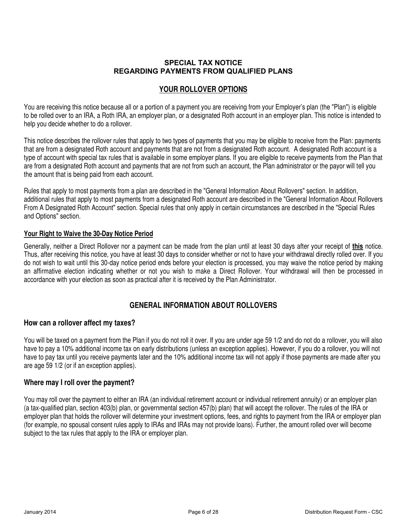# **SPECIAL TAX NOTICE REGARDING PAYMENTS FROM QUALIFIED PLANS**

#### **YOUR ROLLOVER OPTIONS**

You are receiving this notice because all or a portion of a payment you are receiving from your Employer's plan (the "Plan") is eligible to be rolled over to an IRA, a Roth IRA, an employer plan, or a designated Roth account in an employer plan. This notice is intended to help you decide whether to do a rollover.

This notice describes the rollover rules that apply to two types of payments that you may be eligible to receive from the Plan: payments that are from a designated Roth account and payments that are not from a designated Roth account. A designated Roth account is a type of account with special tax rules that is available in some employer plans. If you are eligible to receive payments from the Plan that are from a designated Roth account and payments that are not from such an account, the Plan administrator or the payor will tell you the amount that is being paid from each account.

Rules that apply to most payments from a plan are described in the "General Information About Rollovers" section. In addition, additional rules that apply to most payments from a designated Roth account are described in the "General Information About Rollovers From A Designated Roth Account" section. Special rules that only apply in certain circumstances are described in the "Special Rules and Options" section.

#### **Your Right to Waive the 30-Day Notice Period**

Generally, neither a Direct Rollover nor a payment can be made from the plan until at least 30 days after your receipt of **this** notice. Thus, after receiving this notice, you have at least 30 days to consider whether or not to have your withdrawal directly rolled over. If you do not wish to wait until this 30-day notice period ends before your election is processed, you may waive the notice period by making an affirmative election indicating whether or not you wish to make a Direct Rollover. Your withdrawal will then be processed in accordance with your election as soon as practical after it is received by the Plan Administrator.

# **GENERAL INFORMATION ABOUT ROLLOVERS**

# **How can a rollover affect my taxes?**

You will be taxed on a payment from the Plan if you do not roll it over. If you are under age 59 1/2 and do not do a rollover, you will also have to pay a 10% additional income tax on early distributions (unless an exception applies). However, if you do a rollover, you will not have to pay tax until you receive payments later and the 10% additional income tax will not apply if those payments are made after you are age 59 1/2 (or if an exception applies).

# **Where may I roll over the payment?**

You may roll over the payment to either an IRA (an individual retirement account or individual retirement annuity) or an employer plan (a tax-qualified plan, section 403(b) plan, or governmental section 457(b) plan) that will accept the rollover. The rules of the IRA or employer plan that holds the rollover will determine your investment options, fees, and rights to payment from the IRA or employer plan (for example, no spousal consent rules apply to IRAs and IRAs may not provide loans). Further, the amount rolled over will become subject to the tax rules that apply to the IRA or employer plan.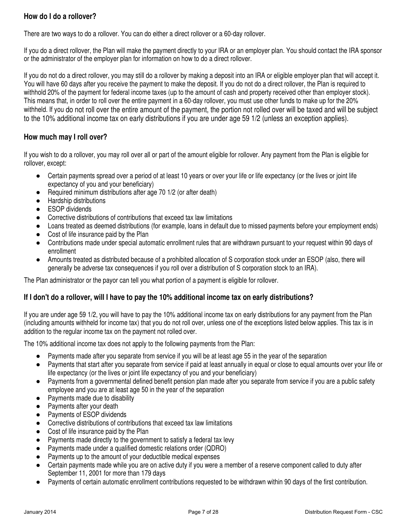# **How do I do a rollover?**

There are two ways to do a rollover. You can do either a direct rollover or a 60-day rollover.

If you do a direct rollover, the Plan will make the payment directly to your IRA or an employer plan. You should contact the IRA sponsor or the administrator of the employer plan for information on how to do a direct rollover.

If you do not do a direct rollover, you may still do a rollover by making a deposit into an IRA or eligible employer plan that will accept it. You will have 60 days after you receive the payment to make the deposit. If you do not do a direct rollover, the Plan is required to withhold 20% of the payment for federal income taxes (up to the amount of cash and property received other than employer stock). This means that, in order to roll over the entire payment in a 60-day rollover, you must use other funds to make up for the 20% withheld. If you do not roll over the entire amount of the payment, the portion not rolled over will be taxed and will be subject to the 10% additional income tax on early distributions if you are under age 59 1/2 (unless an exception applies).

# **How much may I roll over?**

If you wish to do a rollover, you may roll over all or part of the amount eligible for rollover. Any payment from the Plan is eligible for rollover, except:

- Certain payments spread over a period of at least 10 years or over your life or life expectancy (or the lives or joint life expectancy of you and your beneficiary)
- Required minimum distributions after age 70 1/2 (or after death)
- Hardship distributions
- ESOP dividends
- Corrective distributions of contributions that exceed tax law limitations
- Loans treated as deemed distributions (for example, loans in default due to missed payments before your employment ends)
- Cost of life insurance paid by the Plan
- Contributions made under special automatic enrollment rules that are withdrawn pursuant to your request within 90 days of enrollment
- Amounts treated as distributed because of a prohibited allocation of S corporation stock under an ESOP (also, there will generally be adverse tax consequences if you roll over a distribution of S corporation stock to an IRA).

The Plan administrator or the payor can tell you what portion of a payment is eligible for rollover.

# **If I don't do a rollover, will I have to pay the 10% additional income tax on early distributions?**

If you are under age 59 1/2, you will have to pay the 10% additional income tax on early distributions for any payment from the Plan (including amounts withheld for income tax) that you do not roll over, unless one of the exceptions listed below applies. This tax is in addition to the regular income tax on the payment not rolled over.

The 10% additional income tax does not apply to the following payments from the Plan:

- Payments made after you separate from service if you will be at least age 55 in the year of the separation
- Payments that start after you separate from service if paid at least annually in equal or close to equal amounts over your life or life expectancy (or the lives or joint life expectancy of you and your beneficiary)
- Payments from a governmental defined benefit pension plan made after you separate from service if you are a public safety employee and you are at least age 50 in the year of the separation
- Payments made due to disability
- Payments after your death
- Payments of ESOP dividends
- Corrective distributions of contributions that exceed tax law limitations
- Cost of life insurance paid by the Plan
- Payments made directly to the government to satisfy a federal tax levy
- Payments made under a qualified domestic relations order (QDRO)
- Payments up to the amount of your deductible medical expenses
- Certain payments made while you are on active duty if you were a member of a reserve component called to duty after September 11, 2001 for more than 179 days
- Payments of certain automatic enrollment contributions requested to be withdrawn within 90 days of the first contribution.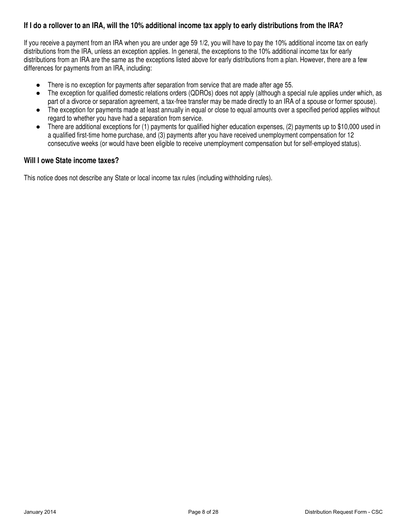# **If I do a rollover to an IRA, will the 10% additional income tax apply to early distributions from the IRA?**

If you receive a payment from an IRA when you are under age 59 1/2, you will have to pay the 10% additional income tax on early distributions from the IRA, unless an exception applies. In general, the exceptions to the 10% additional income tax for early distributions from an IRA are the same as the exceptions listed above for early distributions from a plan. However, there are a few differences for payments from an IRA, including:

- There is no exception for payments after separation from service that are made after age 55.
- The exception for qualified domestic relations orders (QDROs) does not apply (although a special rule applies under which, as part of a divorce or separation agreement, a tax-free transfer may be made directly to an IRA of a spouse or former spouse).
- The exception for payments made at least annually in equal or close to equal amounts over a specified period applies without regard to whether you have had a separation from service.
- There are additional exceptions for (1) payments for qualified higher education expenses, (2) payments up to \$10,000 used in a qualified first-time home purchase, and (3) payments after you have received unemployment compensation for 12 consecutive weeks (or would have been eligible to receive unemployment compensation but for self-employed status).

# **Will I owe State income taxes?**

This notice does not describe any State or local income tax rules (including withholding rules).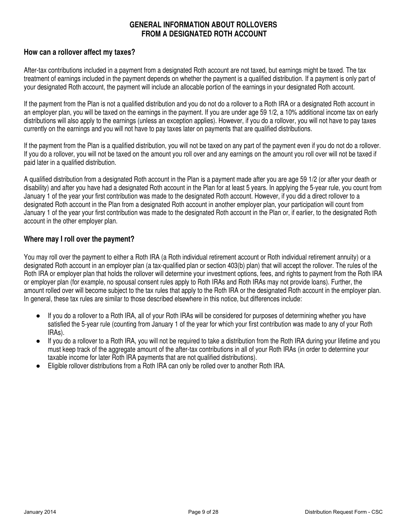# **GENERAL INFORMATION ABOUT ROLLOVERS FROM A DESIGNATED ROTH ACCOUNT**

# **How can a rollover affect my taxes?**

After-tax contributions included in a payment from a designated Roth account are not taxed, but earnings might be taxed. The tax treatment of earnings included in the payment depends on whether the payment is a qualified distribution. If a payment is only part of your designated Roth account, the payment will include an allocable portion of the earnings in your designated Roth account.

If the payment from the Plan is not a qualified distribution and you do not do a rollover to a Roth IRA or a designated Roth account in an employer plan, you will be taxed on the earnings in the payment. If you are under age 59 1/2, a 10% additional income tax on early distributions will also apply to the earnings (unless an exception applies). However, if you do a rollover, you will not have to pay taxes currently on the earnings and you will not have to pay taxes later on payments that are qualified distributions.

If the payment from the Plan is a qualified distribution, you will not be taxed on any part of the payment even if you do not do a rollover. If you do a rollover, you will not be taxed on the amount you roll over and any earnings on the amount you roll over will not be taxed if paid later in a qualified distribution.

A qualified distribution from a designated Roth account in the Plan is a payment made after you are age 59 1/2 (or after your death or disability) and after you have had a designated Roth account in the Plan for at least 5 years. In applying the 5-year rule, you count from January 1 of the year your first contribution was made to the designated Roth account. However, if you did a direct rollover to a designated Roth account in the Plan from a designated Roth account in another employer plan, your participation will count from January 1 of the year your first contribution was made to the designated Roth account in the Plan or, if earlier, to the designated Roth account in the other employer plan.

# **Where may I roll over the payment?**

You may roll over the payment to either a Roth IRA (a Roth individual retirement account or Roth individual retirement annuity) or a designated Roth account in an employer plan (a tax-qualified plan or section 403(b) plan) that will accept the rollover. The rules of the Roth IRA or employer plan that holds the rollover will determine your investment options, fees, and rights to payment from the Roth IRA or employer plan (for example, no spousal consent rules apply to Roth IRAs and Roth IRAs may not provide loans). Further, the amount rolled over will become subject to the tax rules that apply to the Roth IRA or the designated Roth account in the employer plan. In general, these tax rules are similar to those described elsewhere in this notice, but differences include:

- If you do a rollover to a Roth IRA, all of your Roth IRAs will be considered for purposes of determining whether you have satisfied the 5-year rule (counting from January 1 of the year for which your first contribution was made to any of your Roth IRAs).
- If you do a rollover to a Roth IRA, you will not be required to take a distribution from the Roth IRA during your lifetime and you must keep track of the aggregate amount of the after-tax contributions in all of your Roth IRAs (in order to determine your taxable income for later Roth IRA payments that are not qualified distributions).
- Eligible rollover distributions from a Roth IRA can only be rolled over to another Roth IRA.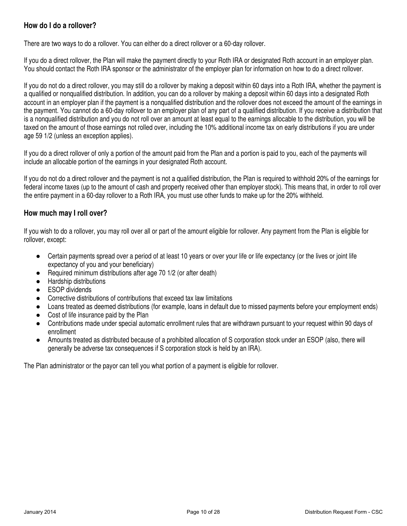# **How do I do a rollover?**

There are two ways to do a rollover. You can either do a direct rollover or a 60-day rollover.

If you do a direct rollover, the Plan will make the payment directly to your Roth IRA or designated Roth account in an employer plan. You should contact the Roth IRA sponsor or the administrator of the employer plan for information on how to do a direct rollover.

If you do not do a direct rollover, you may still do a rollover by making a deposit within 60 days into a Roth IRA, whether the payment is a qualified or nonqualified distribution. In addition, you can do a rollover by making a deposit within 60 days into a designated Roth account in an employer plan if the payment is a nonqualified distribution and the rollover does not exceed the amount of the earnings in the payment. You cannot do a 60-day rollover to an employer plan of any part of a qualified distribution. If you receive a distribution that is a nonqualified distribution and you do not roll over an amount at least equal to the earnings allocable to the distribution, you will be taxed on the amount of those earnings not rolled over, including the 10% additional income tax on early distributions if you are under age 59 1/2 (unless an exception applies).

If you do a direct rollover of only a portion of the amount paid from the Plan and a portion is paid to you, each of the payments will include an allocable portion of the earnings in your designated Roth account.

If you do not do a direct rollover and the payment is not a qualified distribution, the Plan is required to withhold 20% of the earnings for federal income taxes (up to the amount of cash and property received other than employer stock). This means that, in order to roll over the entire payment in a 60-day rollover to a Roth IRA, you must use other funds to make up for the 20% withheld.

# **How much may I roll over?**

If you wish to do a rollover, you may roll over all or part of the amount eligible for rollover. Any payment from the Plan is eligible for rollover, except:

- Certain payments spread over a period of at least 10 years or over your life or life expectancy (or the lives or joint life expectancy of you and your beneficiary)
- Required minimum distributions after age 70 1/2 (or after death)
- Hardship distributions
- ESOP dividends
- Corrective distributions of contributions that exceed tax law limitations
- Loans treated as deemed distributions (for example, loans in default due to missed payments before your employment ends)
- Cost of life insurance paid by the Plan
- Contributions made under special automatic enrollment rules that are withdrawn pursuant to your request within 90 days of enrollment
- Amounts treated as distributed because of a prohibited allocation of S corporation stock under an ESOP (also, there will generally be adverse tax consequences if S corporation stock is held by an IRA).

The Plan administrator or the payor can tell you what portion of a payment is eligible for rollover.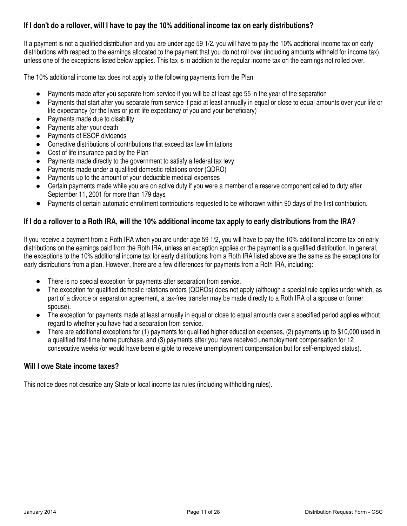# **If I don't do a rollover, will I have to pay the 10% additional income tax on early distributions?**

If a payment is not a qualified distribution and you are under age 59 1/2, you will have to pay the 10% additional income tax on early distributions with respect to the earnings allocated to the payment that you do not roll over (including amounts withheld for income tax), unless one of the exceptions listed below applies. This tax is in addition to the regular income tax on the earnings not rolled over.

The 10% additional income tax does not apply to the following payments from the Plan:

- Payments made after you separate from service if you will be at least age 55 in the year of the separation
- Payments that start after you separate from service if paid at least annually in equal or close to equal amounts over your life or life expectancy (or the lives or joint life expectancy of you and your beneficiary)
- Payments made due to disability
- Payments after your death
- Payments of ESOP dividends
- Corrective distributions of contributions that exceed tax law limitations
- Cost of life insurance paid by the Plan
- Payments made directly to the government to satisfy a federal tax levy
- Payments made under a qualified domestic relations order (QDRO)
- Payments up to the amount of your deductible medical expenses
- Certain payments made while you are on active duty if you were a member of a reserve component called to duty after September 11, 2001 for more than 179 days
- Payments of certain automatic enrollment contributions requested to be withdrawn within 90 days of the first contribution.

# **If I do a rollover to a Roth IRA, will the 10% additional income tax apply to early distributions from the IRA?**

If you receive a payment from a Roth IRA when you are under age 59 1/2, you will have to pay the 10% additional income tax on early distributions on the earnings paid from the Roth IRA, unless an exception applies or the payment is a qualified distribution. In general, the exceptions to the 10% additional income tax for early distributions from a Roth IRA listed above are the same as the exceptions for early distributions from a plan. However, there are a few differences for payments from a Roth IRA, including:

- There is no special exception for payments after separation from service.
- The exception for qualified domestic relations orders (QDROs) does not apply (although a special rule applies under which, as part of a divorce or separation agreement, a tax-free transfer may be made directly to a Roth IRA of a spouse or former spouse).
- The exception for payments made at least annually in equal or close to equal amounts over a specified period applies without regard to whether you have had a separation from service.
- There are additional exceptions for (1) payments for qualified higher education expenses, (2) payments up to \$10,000 used in a qualified first-time home purchase, and (3) payments after you have received unemployment compensation for 12 consecutive weeks (or would have been eligible to receive unemployment compensation but for self-employed status).

# **Will I owe State income taxes?**

This notice does not describe any State or local income tax rules (including withholding rules).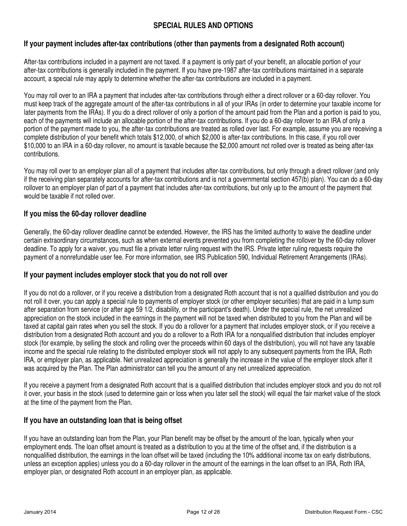# **SPECIAL RULES AND OPTIONS**

# **If your payment includes after-tax contributions (other than payments from a designated Roth account)**

After-tax contributions included in a payment are not taxed. If a payment is only part of your benefit, an allocable portion of your after-tax contributions is generally included in the payment. If you have pre-1987 after-tax contributions maintained in a separate account, a special rule may apply to determine whether the after-tax contributions are included in a payment.

You may roll over to an IRA a payment that includes after-tax contributions through either a direct rollover or a 60-day rollover. You must keep track of the aggregate amount of the after-tax contributions in all of your IRAs (in order to determine your taxable income for later payments from the IRAs). If you do a direct rollover of only a portion of the amount paid from the Plan and a portion is paid to you, each of the payments will include an allocable portion of the after-tax contributions. If you do a 60-day rollover to an IRA of only a portion of the payment made to you, the after-tax contributions are treated as rolled over last. For example, assume you are receiving a complete distribution of your benefit which totals \$12,000, of which \$2,000 is after-tax contributions. In this case, if you roll over \$10,000 to an IRA in a 60-day rollover, no amount is taxable because the \$2,000 amount not rolled over is treated as being after-tax contributions.

You may roll over to an employer plan all of a payment that includes after-tax contributions, but only through a direct rollover (and only if the receiving plan separately accounts for after-tax contributions and is not a governmental section 457(b) plan). You can do a 60-day rollover to an employer plan of part of a payment that includes after-tax contributions, but only up to the amount of the payment that would be taxable if not rolled over.

# **If you miss the 60-day rollover deadline**

Generally, the 60-day rollover deadline cannot be extended. However, the IRS has the limited authority to waive the deadline under certain extraordinary circumstances, such as when external events prevented you from completing the rollover by the 60-day rollover deadline. To apply for a waiver, you must file a private letter ruling request with the IRS. Private letter ruling requests require the payment of a nonrefundable user fee. For more information, see IRS Publication 590, Individual Retirement Arrangements (IRAs).

# **If your payment includes employer stock that you do not roll over**

If you do not do a rollover, or if you receive a distribution from a designated Roth account that is not a qualified distribution and you do not roll it over, you can apply a special rule to payments of employer stock (or other employer securities) that are paid in a lump sum after separation from service (or after age 59 1/2, disability, or the participant's death). Under the special rule, the net unrealized appreciation on the stock included in the earnings in the payment will not be taxed when distributed to you from the Plan and will be taxed at capital gain rates when you sell the stock. If you do a rollover for a payment that includes employer stock, or if you receive a distribution from a designated Roth account and you do a rollover to a Roth IRA for a nonqualified distribution that includes employer stock (for example, by selling the stock and rolling over the proceeds within 60 days of the distribution), you will not have any taxable income and the special rule relating to the distributed employer stock will not apply to any subsequent payments from the IRA, Roth IRA, or employer plan, as applicable. Net unrealized appreciation is generally the increase in the value of the employer stock after it was acquired by the Plan. The Plan administrator can tell you the amount of any net unrealized appreciation.

If you receive a payment from a designated Roth account that is a qualified distribution that includes employer stock and you do not roll it over, your basis in the stock (used to determine gain or loss when you later sell the stock) will equal the fair market value of the stock at the time of the payment from the Plan.

# **If you have an outstanding loan that is being offset**

If you have an outstanding loan from the Plan, your Plan benefit may be offset by the amount of the loan, typically when your employment ends. The loan offset amount is treated as a distribution to you at the time of the offset and, if the distribution is a nonqualified distribution, the earnings in the loan offset will be taxed (including the 10% additional income tax on early distributions, unless an exception applies) unless you do a 60-day rollover in the amount of the earnings in the loan offset to an IRA, Roth IRA, employer plan, or designated Roth account in an employer plan, as applicable.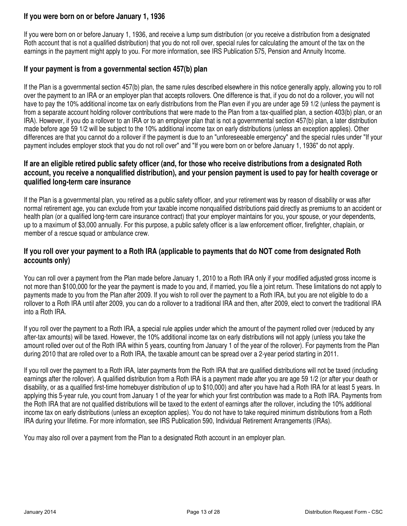# **If you were born on or before January 1, 1936**

If you were born on or before January 1, 1936, and receive a lump sum distribution (or you receive a distribution from a designated Roth account that is not a qualified distribution) that you do not roll over, special rules for calculating the amount of the tax on the earnings in the payment might apply to you. For more information, see IRS Publication 575, Pension and Annuity Income.

# **If your payment is from a governmental section 457(b) plan**

If the Plan is a governmental section 457(b) plan, the same rules described elsewhere in this notice generally apply, allowing you to roll over the payment to an IRA or an employer plan that accepts rollovers. One difference is that, if you do not do a rollover, you will not have to pay the 10% additional income tax on early distributions from the Plan even if you are under age 59 1/2 (unless the payment is from a separate account holding rollover contributions that were made to the Plan from a tax-qualified plan, a section 403(b) plan, or an IRA). However, if you do a rollover to an IRA or to an employer plan that is not a governmental section 457(b) plan, a later distribution made before age 59 1/2 will be subject to the 10% additional income tax on early distributions (unless an exception applies). Other differences are that you cannot do a rollover if the payment is due to an "unforeseeable emergency" and the special rules under "If your payment includes employer stock that you do not roll over" and "If you were born on or before January 1, 1936" do not apply.

# **If are an eligible retired public safety officer (and, for those who receive distributions from a designated Roth account, you receive a nonqualified distribution), and your pension payment is used to pay for health coverage or qualified long-term care insurance**

If the Plan is a governmental plan, you retired as a public safety officer, and your retirement was by reason of disability or was after normal retirement age, you can exclude from your taxable income nonqualified distributions paid directly as premiums to an accident or health plan (or a qualified long-term care insurance contract) that your employer maintains for you, your spouse, or your dependents, up to a maximum of \$3,000 annually. For this purpose, a public safety officer is a law enforcement officer, firefighter, chaplain, or member of a rescue squad or ambulance crew.

# **If you roll over your payment to a Roth IRA (applicable to payments that do NOT come from designated Roth accounts only)**

You can roll over a payment from the Plan made before January 1, 2010 to a Roth IRA only if your modified adjusted gross income is not more than \$100,000 for the year the payment is made to you and, if married, you file a joint return. These limitations do not apply to payments made to you from the Plan after 2009. If you wish to roll over the payment to a Roth IRA, but you are not eligible to do a rollover to a Roth IRA until after 2009, you can do a rollover to a traditional IRA and then, after 2009, elect to convert the traditional IRA into a Roth IRA.

If you roll over the payment to a Roth IRA, a special rule applies under which the amount of the payment rolled over (reduced by any after-tax amounts) will be taxed. However, the 10% additional income tax on early distributions will not apply (unless you take the amount rolled over out of the Roth IRA within 5 years, counting from January 1 of the year of the rollover). For payments from the Plan during 2010 that are rolled over to a Roth IRA, the taxable amount can be spread over a 2-year period starting in 2011.

If you roll over the payment to a Roth IRA, later payments from the Roth IRA that are qualified distributions will not be taxed (including earnings after the rollover). A qualified distribution from a Roth IRA is a payment made after you are age 59 1/2 (or after your death or disability, or as a qualified first-time homebuyer distribution of up to \$10,000) and after you have had a Roth IRA for at least 5 years. In applying this 5-year rule, you count from January 1 of the year for which your first contribution was made to a Roth IRA. Payments from the Roth IRA that are not qualified distributions will be taxed to the extent of earnings after the rollover, including the 10% additional income tax on early distributions (unless an exception applies). You do not have to take required minimum distributions from a Roth IRA during your lifetime. For more information, see IRS Publication 590, Individual Retirement Arrangements (IRAs).

You may also roll over a payment from the Plan to a designated Roth account in an employer plan.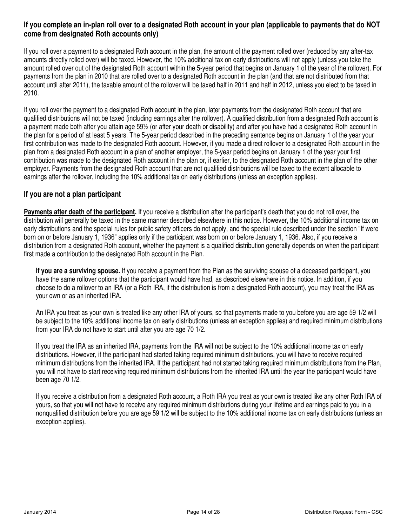# **If you complete an in-plan roll over to a designated Roth account in your plan (applicable to payments that do NOT come from designated Roth accounts only)**

If you roll over a payment to a designated Roth account in the plan, the amount of the payment rolled over (reduced by any after-tax amounts directly rolled over) will be taxed. However, the 10% additional tax on early distributions will not apply (unless you take the amount rolled over out of the designated Roth account within the 5-year period that begins on January 1 of the year of the rollover). For payments from the plan in 2010 that are rolled over to a designated Roth account in the plan (and that are not distributed from that account until after 2011), the taxable amount of the rollover will be taxed half in 2011 and half in 2012, unless you elect to be taxed in 2010.

If you roll over the payment to a designated Roth account in the plan, later payments from the designated Roth account that are qualified distributions will not be taxed (including earnings after the rollover). A qualified distribution from a designated Roth account is a payment made both after you attain age 59½ (or after your death or disability) and after you have had a designated Roth account in the plan for a period of at least 5 years. The 5-year period described in the preceding sentence begins on January 1 of the year your first contribution was made to the designated Roth account. However, if you made a direct rollover to a designated Roth account in the plan from a designated Roth account in a plan of another employer, the 5-year period begins on January 1 of the year your first contribution was made to the designated Roth account in the plan or, if earlier, to the designated Roth account in the plan of the other employer. Payments from the designated Roth account that are not qualified distributions will be taxed to the extent allocable to earnings after the rollover, including the 10% additional tax on early distributions (unless an exception applies).

# **If you are not a plan participant**

**Payments after death of the participant.** If you receive a distribution after the participant's death that you do not roll over, the distribution will generally be taxed in the same manner described elsewhere in this notice. However, the 10% additional income tax on early distributions and the special rules for public safety officers do not apply, and the special rule described under the section "If were born on or before January 1, 1936" applies only if the participant was born on or before January 1, 1936. Also, if you receive a distribution from a designated Roth account, whether the payment is a qualified distribution generally depends on when the participant first made a contribution to the designated Roth account in the Plan.

**If you are a surviving spouse.** If you receive a payment from the Plan as the surviving spouse of a deceased participant, you have the same rollover options that the participant would have had, as described elsewhere in this notice. In addition, if you choose to do a rollover to an IRA (or a Roth IRA, if the distribution is from a designated Roth account), you may treat the IRA as your own or as an inherited IRA.

An IRA you treat as your own is treated like any other IRA of yours, so that payments made to you before you are age 59 1/2 will be subject to the 10% additional income tax on early distributions (unless an exception applies) and required minimum distributions from your IRA do not have to start until after you are age 70 1/2.

If you treat the IRA as an inherited IRA, payments from the IRA will not be subject to the 10% additional income tax on early distributions. However, if the participant had started taking required minimum distributions, you will have to receive required minimum distributions from the inherited IRA. If the participant had not started taking required minimum distributions from the Plan, you will not have to start receiving required minimum distributions from the inherited IRA until the year the participant would have been age 70 1/2.

If you receive a distribution from a designated Roth account, a Roth IRA you treat as your own is treated like any other Roth IRA of yours, so that you will not have to receive any required minimum distributions during your lifetime and earnings paid to you in a nonqualified distribution before you are age 59 1/2 will be subject to the 10% additional income tax on early distributions (unless an exception applies).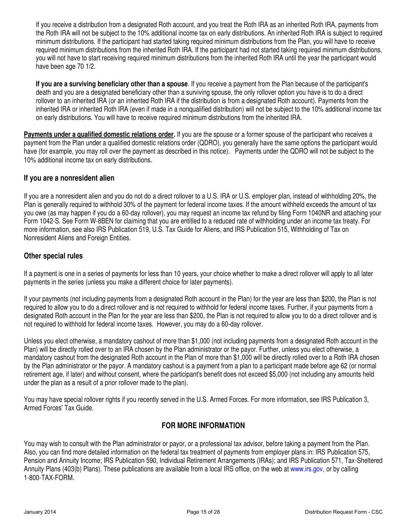If you receive a distribution from a designated Roth account, and you treat the Roth IRA as an inherited Roth IRA, payments from the Roth IRA will not be subject to the 10% additional income tax on early distributions. An inherited Roth IRA is subject to required minimum distributions. If the participant had started taking required minimum distributions from the Plan, you will have to receive required minimum distributions from the inherited Roth IRA. If the participant had not started taking required minimum distributions, you will not have to start receiving required minimum distributions from the inherited Roth IRA until the year the participant would have been age 70 1/2.

**If you are a surviving beneficiary other than a spouse**. If you receive a payment from the Plan because of the participant's death and you are a designated beneficiary other than a surviving spouse, the only rollover option you have is to do a direct rollover to an inherited IRA (or an inherited Roth IRA if the distribution is from a designated Roth account). Payments from the inherited IRA or inherited Roth IRA (even if made in a nonqualified distribution) will not be subject to the 10% additional income tax on early distributions. You will have to receive required minimum distributions from the inherited IRA.

**Payments under a qualified domestic relations order.** If you are the spouse or a former spouse of the participant who receives a payment from the Plan under a qualified domestic relations order (QDRO), you generally have the same options the participant would have (for example, you may roll over the payment as described in this notice). Payments under the QDRO will not be subject to the 10% additional income tax on early distributions.

# **If you are a nonresident alien**

If you are a nonresident alien and you do not do a direct rollover to a U.S. IRA or U.S. employer plan, instead of withholding 20%, the Plan is generally required to withhold 30% of the payment for federal income taxes. If the amount withheld exceeds the amount of tax you owe (as may happen if you do a 60-day rollover), you may request an income tax refund by filing Form 1040NR and attaching your Form 1042-S. See Form W-8BEN for claiming that you are entitled to a reduced rate of withholding under an income tax treaty. For more information, see also IRS Publication 519, U.S. Tax Guide for Aliens, and IRS Publication 515, Withholding of Tax on Nonresident Aliens and Foreign Entities.

# **Other special rules**

If a payment is one in a series of payments for less than 10 years, your choice whether to make a direct rollover will apply to all later payments in the series (unless you make a different choice for later payments).

If your payments (not including payments from a designated Roth account in the Plan) for the year are less than \$200, the Plan is not required to allow you to do a direct rollover and is not required to withhold for federal income taxes. Further, if your payments from a designated Roth account in the Plan for the year are less than \$200, the Plan is not required to allow you to do a direct rollover and is not required to withhold for federal income taxes. However, you may do a 60-day rollover.

Unless you elect otherwise, a mandatory cashout of more than \$1,000 (not including payments from a designated Roth account in the Plan) will be directly rolled over to an IRA chosen by the Plan administrator or the payor. Further, unless you elect otherwise, a mandatory cashout from the designated Roth account in the Plan of more than \$1,000 will be directly rolled over to a Roth IRA chosen by the Plan administrator or the payor. A mandatory cashout is a payment from a plan to a participant made before age 62 (or normal retirement age, if later) and without consent, where the participant's benefit does not exceed \$5,000 (not including any amounts held under the plan as a result of a prior rollover made to the plan).

You may have special rollover rights if you recently served in the U.S. Armed Forces. For more information, see IRS Publication 3, Armed Forces' Tax Guide.

# **FOR MORE INFORMATION**

You may wish to consult with the Plan administrator or payor, or a professional tax advisor, before taking a payment from the Plan. Also, you can find more detailed information on the federal tax treatment of payments from employer plans in: IRS Publication 575, Pension and Annuity Income; IRS Publication 590, Individual Retirement Arrangements (IRAs); and IRS Publication 571, Tax-Sheltered Annuity Plans (403(b) Plans). These publications are available from a local IRS office, on the web at www.irs.gov, or by calling 1-800-TAX-FORM.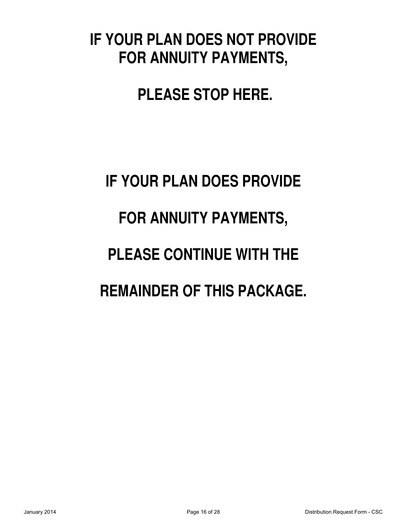# **IF YOUR PLAN DOES NOT PROVIDE FOR ANNUITY PAYMENTS,**

# **PLEASE STOP HERE.**

# **IF YOUR PLAN DOES PROVIDE FOR ANNUITY PAYMENTS, PLEASE CONTINUE WITH THE REMAINDER OF THIS PACKAGE.**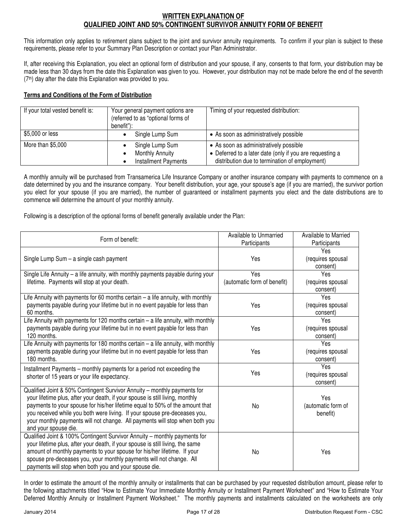#### **WRITTEN EXPLANATION OF QUALIFIED JOINT AND 50% CONTINGENT SURVIVOR ANNUITY FORM OF BENEFIT**

This information only applies to retirement plans subject to the joint and survivor annuity requirements. To confirm if your plan is subject to these requirements, please refer to your Summary Plan Description or contact your Plan Administrator.

If, after receiving this Explanation, you elect an optional form of distribution and your spouse, if any, consents to that form, your distribution may be made less than 30 days from the date this Explanation was given to you. However, your distribution may not be made before the end of the seventh (7th) day after the date this Explanation was provided to you.

#### **Terms and Conditions of the Form of Distribution**

| If your total vested benefit is: | Your general payment options are<br>(referred to as "optional forms of<br>benefit"): | Timing of your requested distribution:                                                                                                               |
|----------------------------------|--------------------------------------------------------------------------------------|------------------------------------------------------------------------------------------------------------------------------------------------------|
| \$5,000 or less                  | Single Lump Sum                                                                      | • As soon as administratively possible                                                                                                               |
| More than \$5,000                | Single Lump Sum<br><b>Monthly Annuity</b><br><b>Installment Payments</b>             | • As soon as administratively possible<br>• Deferred to a later date (only if you are requesting a<br>distribution due to termination of employment) |

A monthly annuity will be purchased from Transamerica Life Insurance Company or another insurance company with payments to commence on a date determined by you and the insurance company. Your benefit distribution, your age, your spouse's age (if you are married), the survivor portion you elect for your spouse (if you are married), the number of guaranteed or installment payments you elect and the date distributions are to commence will determine the amount of your monthly annuity.

Following is a description of the optional forms of benefit generally available under the Plan:

| Form of benefit:                                                                                                                                                                                                                                                                                                                                                                                                              | Available to Unmarried<br>Participants | Available to Married<br>Participants  |
|-------------------------------------------------------------------------------------------------------------------------------------------------------------------------------------------------------------------------------------------------------------------------------------------------------------------------------------------------------------------------------------------------------------------------------|----------------------------------------|---------------------------------------|
| Single Lump Sum - a single cash payment                                                                                                                                                                                                                                                                                                                                                                                       | Yes                                    | Yes<br>(requires spousal<br>consent)  |
| Single Life Annuity - a life annuity, with monthly payments payable during your<br>lifetime. Payments will stop at your death.                                                                                                                                                                                                                                                                                                | Yes<br>(automatic form of benefit)     | Yes<br>(requires spousal<br>consent)  |
| Life Annuity with payments for 60 months certain $-$ a life annuity, with monthly<br>payments payable during your lifetime but in no event payable for less than<br>60 months.                                                                                                                                                                                                                                                | Yes                                    | Yes<br>(requires spousal<br>consent)  |
| Life Annuity with payments for 120 months certain $-$ a life annuity, with monthly<br>payments payable during your lifetime but in no event payable for less than<br>120 months.                                                                                                                                                                                                                                              | Yes                                    | Yes<br>(requires spousal<br>consent)  |
| Life Annuity with payments for 180 months certain - a life annuity, with monthly<br>payments payable during your lifetime but in no event payable for less than<br>180 months.                                                                                                                                                                                                                                                | Yes                                    | Yes<br>(requires spousal<br>consent)  |
| Installment Payments – monthly payments for a period not exceeding the<br>shorter of 15 years or your life expectancy.                                                                                                                                                                                                                                                                                                        | Yes                                    | Yes<br>(requires spousal<br>consent)  |
| Qualified Joint & 50% Contingent Survivor Annuity - monthly payments for<br>your lifetime plus, after your death, if your spouse is still living, monthly<br>payments to your spouse for his/her lifetime equal to 50% of the amount that<br>you received while you both were living. If your spouse pre-deceases you,<br>your monthly payments will not change. All payments will stop when both you<br>and your spouse die. | No                                     | Yes<br>(automatic form of<br>benefit) |
| Qualified Joint & 100% Contingent Survivor Annuity - monthly payments for<br>your lifetime plus, after your death, if your spouse is still living, the same<br>amount of monthly payments to your spouse for his/her lifetime. If your<br>spouse pre-deceases you, your monthly payments will not change. All<br>payments will stop when both you and your spouse die.                                                        | No                                     | Yes                                   |

In order to estimate the amount of the monthly annuity or installments that can be purchased by your requested distribution amount, please refer to the following attachments titled "How to Estimate Your Immediate Monthly Annuity or Installment Payment Worksheet" and "How to Estimate Your Deferred Monthly Annuity or Installment Payment Worksheet." The monthly payments and installments calculated on the worksheets are only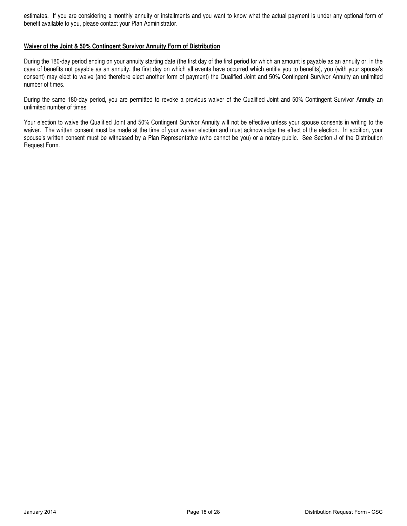estimates. If you are considering a monthly annuity or installments and you want to know what the actual payment is under any optional form of benefit available to you, please contact your Plan Administrator.

#### **Waiver of the Joint & 50% Contingent Survivor Annuity Form of Distribution**

During the 180-day period ending on your annuity starting date (the first day of the first period for which an amount is payable as an annuity or, in the case of benefits not payable as an annuity, the first day on which all events have occurred which entitle you to benefits), you (with your spouse's consent) may elect to waive (and therefore elect another form of payment) the Qualified Joint and 50% Contingent Survivor Annuity an unlimited number of times.

During the same 180-day period, you are permitted to revoke a previous waiver of the Qualified Joint and 50% Contingent Survivor Annuity an unlimited number of times.

Your election to waive the Qualified Joint and 50% Contingent Survivor Annuity will not be effective unless your spouse consents in writing to the waiver. The written consent must be made at the time of your waiver election and must acknowledge the effect of the election. In addition, your spouse's written consent must be witnessed by a Plan Representative (who cannot be you) or a notary public. See Section J of the Distribution Request Form.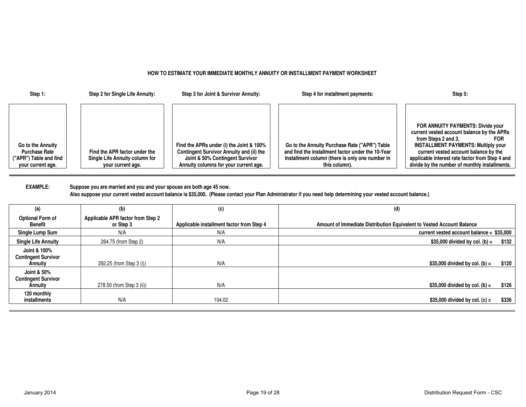#### **HOW TO ESTIMATE YOUR IMMEDIATE MONTHLY ANNUITY OR INSTALLMENT PAYMENT WORKSHEET**

| Step 1:                                                                                  | Step 2 for Single Life Annuity:                                                      | Step 3 for Joint & Survivor Annuity:                                                                                                                             | Step 4 for installment payments:                                                                                                                                       | Step 5:                                                                                                                                                                                                                                                                                                         |
|------------------------------------------------------------------------------------------|--------------------------------------------------------------------------------------|------------------------------------------------------------------------------------------------------------------------------------------------------------------|------------------------------------------------------------------------------------------------------------------------------------------------------------------------|-----------------------------------------------------------------------------------------------------------------------------------------------------------------------------------------------------------------------------------------------------------------------------------------------------------------|
| Go to the Annuity<br><b>Purchase Rate</b><br>("APR") Table and find<br>your current age. | Find the APR factor under the<br>Single Life Annuity column for<br>your current age. | Find the APRs under (i) the Joint & 100%<br>Contingent Survivor Annuity and (ii) the<br>Joint & 50% Contingent Survivor<br>Annuity columns for your current age. | Go to the Annuity Purchase Rate ("APR") Table<br>and find the installment factor under the 10-Year<br>Installment column (there is only one number in<br>this column). | FOR ANNUITY PAYMENTS: Divide your<br>current vested account balance by the APRs<br>from Steps 2 and 3.<br><b>FOR</b><br><b>INSTALLMENT PAYMENTS: Multiply your</b><br>current vested account balance by the<br>applicable interest rate factor from Step 4 and<br>divide by the number of monthly installments. |

**EXAMPLE: Suppose you are married and you and your spouse are both age 45 now. Also suppose your current vested account balance is \$35,000. (Please contact your Plan Administrator if you need help determining your vested account balance.)**

| (a)                                                   | (b)                                            | (c)                                       | (d)                                                                   |
|-------------------------------------------------------|------------------------------------------------|-------------------------------------------|-----------------------------------------------------------------------|
| Optional Form of<br>Benefit                           | Applicable APR factor from Step 2<br>or Step 3 | Applicable installment factor from Step 4 | Amount of Immediate Distribution Equivalent to Vested Account Balance |
| Single Lump Sum                                       | N/A                                            | N/A                                       | current vested account balance = $$35,000$                            |
| <b>Single Life Annuity</b>                            | 264.75 (from Step 2)                           | N/A                                       | $$35,000$ divided by col. (b) =<br>\$132                              |
| Joint & 100%<br><b>Contingent Survivor</b><br>Annuity | 292.25 (from Step 3 (i))                       | N/A                                       | \$120<br>\$35,000 divided by col. (b) $=$                             |
| Joint & 50%<br><b>Contingent Survivor</b><br>Annuity  | 278.50 (from Step 3 (ii))                      | N/A                                       | \$126<br>\$35,000 divided by col. (b) $=$                             |
| 120 monthly<br>installments                           | N/A                                            | 104.02                                    | $$35,000$ divided by col. (c) =<br>\$336                              |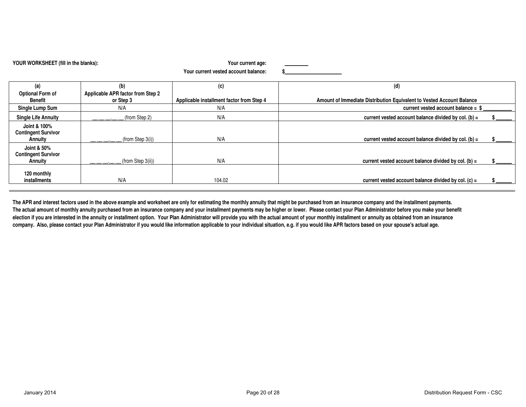| YOUR WORKSHEET (fill in the blanks):                  |                                   | Your current age:                         |                                                                       |
|-------------------------------------------------------|-----------------------------------|-------------------------------------------|-----------------------------------------------------------------------|
|                                                       |                                   | Your current vested account balance:      |                                                                       |
| (a)                                                   | (b)                               | (c)                                       | (d)                                                                   |
| <b>Optional Form of</b>                               | Applicable APR factor from Step 2 |                                           |                                                                       |
| <b>Benefit</b>                                        | or Step 3                         | Applicable installment factor from Step 4 | Amount of Immediate Distribution Equivalent to Vested Account Balance |
| Single Lump Sum                                       | N/A                               | N/A                                       | current vested account balance $=$ \$                                 |
| <b>Single Life Annuity</b>                            | (from Step 2)<br>_______          | N/A                                       | current vested account balance divided by col. (b) $=$                |
| Joint & 100%<br><b>Contingent Survivor</b><br>Annuity | (from Step 3(i))                  | N/A                                       | current vested account balance divided by col. (b) =                  |
| Joint & 50%<br><b>Contingent Survivor</b><br>Annuity  | (from Step 3(ii))<br>_______      | N/A                                       | current vested account balance divided by col. (b) $=$                |
| 120 monthly<br>installments                           | N/A                               | 104.02                                    | current vested account balance divided by col. $(c)$ =                |

The APR and interest factors used in the above example and worksheet are only for estimating the monthly annuity that might be purchased from an insurance company and the installment payments. **The actual amount of monthly annuity purchased from an insurance company and your installment payments may be higher or lower. Please contact your Plan Administrator before you make your benefit election if you are interested in the annuity or installment option. Your Plan Administrator will provide you with the actual amount of your monthly installment or annuity as obtained from an insurance company. Also, please contact your Plan Administrator if you would like information applicable to your individual situation, e.g. if you would like APR factors based on your spouse's actual age.**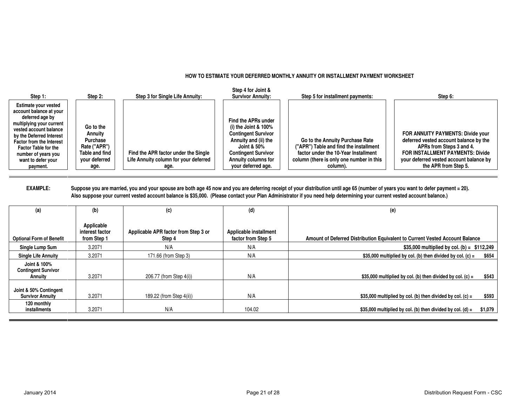#### **HOW TO ESTIMATE YOUR DEFERRED MONTHLY ANNUITY OR INSTALLMENT PAYMENT WORKSHEET**

| Step 1:                                                                                                                                                                                                                                                                                | Step 2:                                                                                            | Step 3 for Single Life Annuity:                                                       | Step 4 for Joint &<br><b>Survivor Annuity:</b>                                                                                                                                                        | Step 5 for installment payments:                                                                                                                                          | Step 6:                                                                                                                                                                                                               |
|----------------------------------------------------------------------------------------------------------------------------------------------------------------------------------------------------------------------------------------------------------------------------------------|----------------------------------------------------------------------------------------------------|---------------------------------------------------------------------------------------|-------------------------------------------------------------------------------------------------------------------------------------------------------------------------------------------------------|---------------------------------------------------------------------------------------------------------------------------------------------------------------------------|-----------------------------------------------------------------------------------------------------------------------------------------------------------------------------------------------------------------------|
| <b>Estimate your vested</b><br>account balance at your<br>deferred age by<br>multiplying your current<br>vested account balance<br>by the Deferred Interest<br><b>Factor from the Interest</b><br><b>Factor Table for the</b><br>number of years you<br>want to defer your<br>payment. | Go to the<br>Annuity<br><b>Purchase</b><br>Rate ("APR")<br>Table and find<br>vour deferred<br>age. | Find the APR factor under the Single<br>Life Annuity column for your deferred<br>age. | Find the APRs under<br>(i) the Joint $& 100\%$<br><b>Contingent Survivor</b><br>Annuity and (ii) the<br>Joint & 50%<br><b>Contingent Survivor</b><br><b>Annuity columns for</b><br>your deferred age. | Go to the Annuity Purchase Rate<br>("APR") Table and find the installment<br>factor under the 10-Year Installment<br>column (there is only one number in this<br>column). | FOR ANNUITY PAYMENTS: Divide your<br>deferred vested account balance by the<br>APRs from Steps 3 and 4.<br><b>FOR INSTALLMENT PAYMENTS: Divide</b><br>your deferred vested account balance by<br>the APR from Step 5. |

#### **EXAMPLE: Suppose you are married, you and your spouse are both age 45 now and you are deferring receipt of your distribution until age 65 (number of years you want to defer payment = 20). Also suppose your current vested account balance is \$35,000. (Please contact your Plan Administrator if you need help determining your current vested account balance.)**

| (a)                                                   | (b)                                          | (c)                                            | (d)                                          | (e)                                                                          |
|-------------------------------------------------------|----------------------------------------------|------------------------------------------------|----------------------------------------------|------------------------------------------------------------------------------|
| <b>Optional Form of Benefit</b>                       | Applicable<br>interest factor<br>from Step 1 | Applicable APR factor from Step 3 or<br>Step 4 | Applicable installment<br>factor from Step 5 | Amount of Deferred Distribution Equivalent to Current Vested Account Balance |
| Single Lump Sum                                       | 3.2071                                       | N/A                                            | N/A                                          | \$35,000 multiplied by col. (b) = $$112,249$                                 |
| <b>Single Life Annuity</b>                            | 3.2071                                       | 171.66 (from Step 3)                           | N/A                                          | \$35,000 multiplied by col. (b) then divided by col. (c) =<br>\$654          |
| Joint & 100%<br><b>Contingent Survivor</b><br>Annuity | 3.2071                                       | 206.77 (from Step 4(i))                        | N/A                                          | \$35,000 multiplied by col. (b) then divided by col. (c) =<br>\$543          |
| Joint & 50% Contingent<br><b>Survivor Annuity</b>     | 3.2071                                       | 189.22 (from Step 4(ii))                       | N/A                                          | \$35,000 multiplied by col. (b) then divided by col. (c) =<br>\$593          |
| 120 monthly<br>installments                           | 3.2071                                       | N/A                                            | 104.02                                       | \$35,000 multiplied by col. (b) then divided by col. (d) =<br>\$1,079        |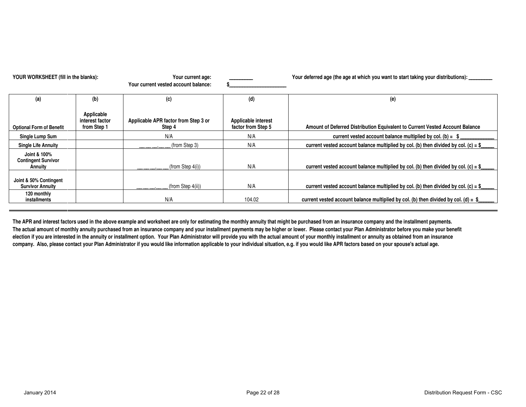| YOUR WORKSHEET (fill in the blanks):                  |                                              | Your current age:<br>Your current vested account balance: |                                           | Your deferred age (the age at which you want to start taking your distributions): _______ |  |  |
|-------------------------------------------------------|----------------------------------------------|-----------------------------------------------------------|-------------------------------------------|-------------------------------------------------------------------------------------------|--|--|
| (a)                                                   | (b)                                          | (c)                                                       | (d)                                       | (e)                                                                                       |  |  |
| <b>Optional Form of Benefit</b>                       | Applicable<br>interest factor<br>from Step 1 | Applicable APR factor from Step 3 or<br>Step 4            | Applicable interest<br>factor from Step 5 | Amount of Deferred Distribution Equivalent to Current Vested Account Balance              |  |  |
| Single Lump Sum                                       |                                              | N/A                                                       | N/A                                       | current vested account balance multiplied by col. (b) = $$$                               |  |  |
| <b>Single Life Annuity</b>                            |                                              | (from Step 3)                                             | N/A                                       | current vested account balance multiplied by col. (b) then divided by col. (c) = $$$      |  |  |
| Joint & 100%<br><b>Contingent Survivor</b><br>Annuity |                                              | $(from$ Step $4(i)$ )                                     | N/A                                       | current vested account balance multiplied by col. (b) then divided by col. (c) = $\S$     |  |  |
| Joint & 50% Contingent<br><b>Survivor Annuity</b>     |                                              | $(from$ Step $4(ii)$ )                                    | N/A                                       | current vested account balance multiplied by col. (b) then divided by col. (c) = $$$      |  |  |
| 120 monthly<br>installments                           |                                              | N/A                                                       | 104.02                                    | current vested account balance multiplied by col. (b) then divided by col. (d) = $\$      |  |  |

The APR and interest factors used in the above example and worksheet are only for estimating the monthly annuity that might be purchased from an insurance company and the installment payments. **The actual amount of monthly annuity purchased from an insurance company and your installment payments may be higher or lower. Please contact your Plan Administrator before you make your benefit election if you are interested in the annuity or installment option. Your Plan Administrator will provide you with the actual amount of your monthly installment or annuity as obtained from an insurance company. Also, please contact your Plan Administrator if you would like information applicable to your individual situation, e.g. if you would like APR factors based on your spouse's actual age.**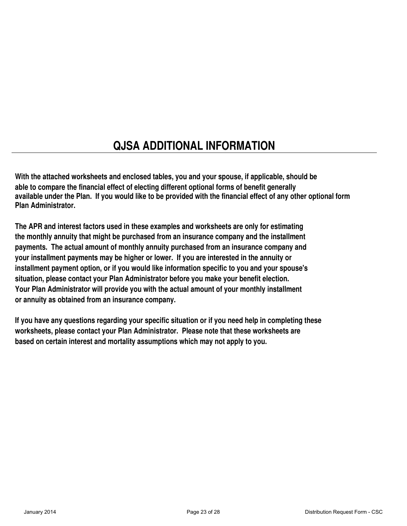# **QJSA ADDITIONAL INFORMATION**

**With the attached worksheets and enclosed tables, you and your spouse, if applicable, should be able to compare the financial effect of electing different optional forms of benefit generally available under the Plan. If you would like to be provided with the financial effect of any other optional form Plan Administrator.**

**The APR and interest factors used in these examples and worksheets are only for estimating the monthly annuity that might be purchased from an insurance company and the installment payments. The actual amount of monthly annuity purchased from an insurance company and your installment payments may be higher or lower. If you are interested in the annuity or installment payment option, or if you would like information specific to you and your spouse's situation, please contact your Plan Administrator before you make your benefit election. Your Plan Administrator will provide you with the actual amount of your monthly installment or annuity as obtained from an insurance company.**

**If you have any questions regarding your specific situation or if you need help in completing these worksheets, please contact your Plan Administrator. Please note that these worksheets are based on certain interest and mortality assumptions which may not apply to you.**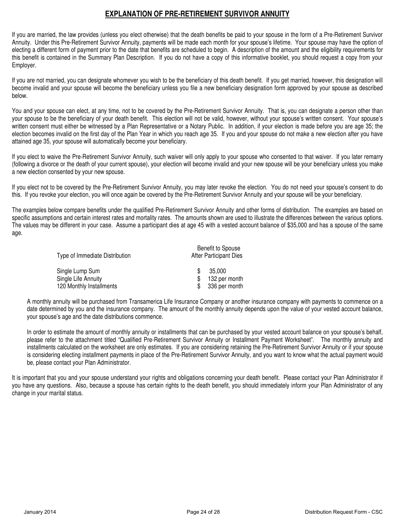# **EXPLANATION OF PRE-RETIREMENT SURVIVOR ANNUITY**

If you are married, the law provides (unless you elect otherwise) that the death benefits be paid to your spouse in the form of a Pre-Retirement Survivor Annuity. Under this Pre-Retirement Survivor Annuity, payments will be made each month for your spouse's lifetime. Your spouse may have the option of electing a different form of payment prior to the date that benefits are scheduled to begin. A description of the amount and the eligibility requirements for this benefit is contained in the Summary Plan Description. If you do not have a copy of this informative booklet, you should request a copy from your Employer.

If you are not married, you can designate whomever you wish to be the beneficiary of this death benefit. If you get married, however, this designation will become invalid and your spouse will become the beneficiary unless you file a new beneficiary designation form approved by your spouse as described below.

You and your spouse can elect, at any time, not to be covered by the Pre-Retirement Survivor Annuity. That is, you can designate a person other than your spouse to be the beneficiary of your death benefit. This election will not be valid, however, without your spouse's written consent. Your spouse's written consent must either be witnessed by a Plan Representative or a Notary Public. In addition, if your election is made before you are age 35; the election becomes invalid on the first day of the Plan Year in which you reach age 35. If you and your spouse do not make a new election after you have attained age 35, your spouse will automatically become your beneficiary.

If you elect to waive the Pre-Retirement Survivor Annuity, such waiver will only apply to your spouse who consented to that waiver. If you later remarry (following a divorce or the death of your current spouse), your election will become invalid and your new spouse will be your beneficiary unless you make a new election consented by your new spouse.

If you elect not to be covered by the Pre-Retirement Survivor Annuity, you may later revoke the election. You do not need your spouse's consent to do this. If you revoke your election, you will once again be covered by the Pre-Retirement Survivor Annuity and your spouse will be your beneficiary.

The examples below compare benefits under the qualified Pre-Retirement Survivor Annuity and other forms of distribution. The examples are based on specific assumptions and certain interest rates and mortality rates. The amounts shown are used to illustrate the differences between the various options. The values may be different in your case. Assume a participant dies at age 45 with a vested account balance of \$35,000 and has a spouse of the same age.

| Type of Immediate Distribution | Benefit to Spouse<br>After Participant Dies |  |
|--------------------------------|---------------------------------------------|--|
| Single Lump Sum                | 35,000                                      |  |
| Single Life Annuity            | 132 per month                               |  |
| 120 Monthly Installments       | 336 per month                               |  |

A monthly annuity will be purchased from Transamerica Life Insurance Company or another insurance company with payments to commence on a date determined by you and the insurance company. The amount of the monthly annuity depends upon the value of your vested account balance, your spouse's age and the date distributions commence.

In order to estimate the amount of monthly annuity or installments that can be purchased by your vested account balance on your spouse's behalf, please refer to the attachment titled "Qualified Pre-Retirement Survivor Annuity or Installment Payment Worksheet". The monthly annuity and installments calculated on the worksheet are only estimates. If you are considering retaining the Pre-Retirement Survivor Annuity or if your spouse is considering electing installment payments in place of the Pre-Retirement Survivor Annuity, and you want to know what the actual payment would be, please contact your Plan Administrator.

It is important that you and your spouse understand your rights and obligations concerning your death benefit. Please contact your Plan Administrator if you have any questions. Also, because a spouse has certain rights to the death benefit, you should immediately inform your Plan Administrator of any change in your marital status.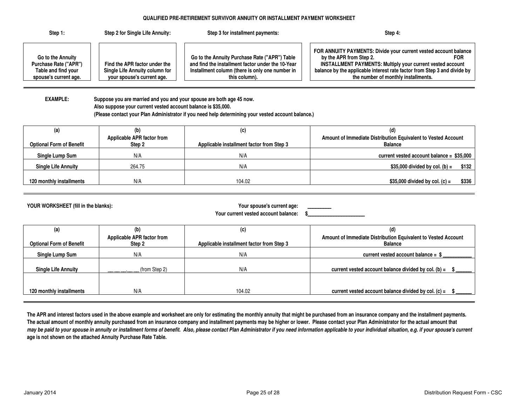#### **QUALIFIED PRE-RETIREMENT SURVIVOR ANNUITY OR INSTALLMENT PAYMENT WORKSHEET**

| Step 1:                                                                                    | Step 2 for Single Life Annuity:                                                               | Step 3 for installment payments:                                                                                                                                       | Step 4:                                                                                                                                                                                                                                                                                           |
|--------------------------------------------------------------------------------------------|-----------------------------------------------------------------------------------------------|------------------------------------------------------------------------------------------------------------------------------------------------------------------------|---------------------------------------------------------------------------------------------------------------------------------------------------------------------------------------------------------------------------------------------------------------------------------------------------|
| Go to the Annuity<br>Purchase Rate ("APR")<br>Table and find your<br>spouse's current age. | Find the APR factor under the<br>Single Life Annuity column for<br>your spouse's current age. | Go to the Annuity Purchase Rate ("APR") Table<br>and find the installment factor under the 10-Year<br>Installment column (there is only one number in<br>this column). | FOR ANNUITY PAYMENTS: Divide your current vested account balance<br>by the APR from Step 2.<br><b>FOR</b><br><b>INSTALLMENT PAYMENTS: Multiply your current vested account</b><br>balance by the applicable interest rate factor from Step 3 and divide by<br>the number of monthly installments. |

**EXAMPLE: Suppose you are married and you and your spouse are both age 45 now. Also suppose your current vested account balance is \$35,000. (Please contact your Plan Administrator if you need help determining your vested account balance.)**

| (a)                             | (b)                                  | (c)                                       |                                                                                 |
|---------------------------------|--------------------------------------|-------------------------------------------|---------------------------------------------------------------------------------|
| <b>Optional Form of Benefit</b> | Applicable APR factor from<br>Step 2 | Applicable installment factor from Step 3 | Amount of Immediate Distribution Equivalent to Vested Account<br><b>Balance</b> |
| Single Lump Sum                 | N/A                                  | N/A                                       | current vested account balance = \$35,000                                       |
| <b>Single Life Annuity</b>      | 264.75                               | N/A                                       | \$35,000 divided by col. (b) $=$<br>\$132                                       |
| 120 monthly installments        | N/A                                  | 104.02                                    | \$35,000 divided by col. (c) =<br>\$336                                         |

**YOUR WORKSHEET (fill in the blanks): Your spouse's current age: \_\_\_\_\_\_\_\_\_**

**Your current** 

|  | vested account balance: |  |  |  |
|--|-------------------------|--|--|--|
|--|-------------------------|--|--|--|

| (a)                             | (b)                                  | (c)                                       |                                                                                 |
|---------------------------------|--------------------------------------|-------------------------------------------|---------------------------------------------------------------------------------|
| <b>Optional Form of Benefit</b> | Applicable APR factor from<br>Step 2 | Applicable installment factor from Step 3 | Amount of Immediate Distribution Equivalent to Vested Account<br><b>Balance</b> |
| Single Lump Sum                 | N/A                                  | N/A                                       | current vested account balance = $$$                                            |
| <b>Single Life Annuity</b>      | (from Step 2)                        | N/A                                       | current vested account balance divided by col. (b) $=$                          |
|                                 |                                      |                                           |                                                                                 |
| 120 monthly installments        | N/A                                  | 104.02                                    | current vested account balance divided by col. $(c)$ =                          |
|                                 |                                      |                                           |                                                                                 |

The APR and interest factors used in the above example and worksheet are only for estimating the monthly annuity that might be purchased from an insurance company and the installment payments. **The actual amount of monthly annuity purchased from an insurance company and installment payments may be higher or lower. Please contact your Plan Administrator for the actual amount that** may be paid to your spouse in annuity or installment forms of benefit. Also, please contact Plan Administrator if you need information applicable to your individual situation, e.g. if your spouse's current **age is not shown on the attached Annuity Purchase Rate Table.**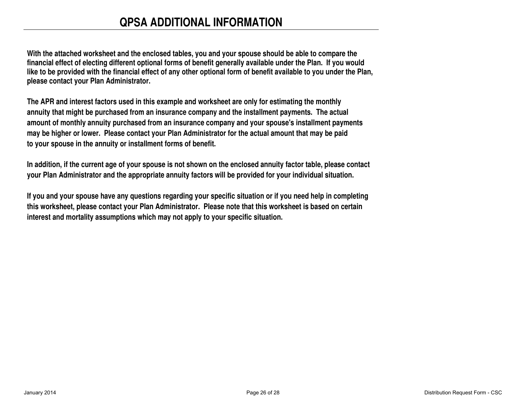# **QPSA ADDITIONAL INFORMATION**

**With the attached worksheet and the enclosed tables, you and your spouse should be able to compare the financial effect of electing different optional forms of benefit generally available under the Plan. If you would like to be provided with the financial effect of any other optional form of benefit available to you under the Plan, please contact your Plan Administrator.**

**The APR and interest factors used in this example and worksheet are only for estimating the monthly annuity that might be purchased from an insurance company and the installment payments. The actual amount of monthly annuity purchased from an insurance company and your spouse's installment payments may be higher or lower. Please contact your Plan Administrator for the actual amount that may be paid to your spouse in the annuity or installment forms of benefit.**

**In addition, if the current age of your spouse is not shown on the enclosed annuity factor table, please contact your Plan Administrator and the appropriate annuity factors will be provided for your individual situation.**

**If you and your spouse have any questions regarding your specific situation or if you need help in completing this worksheet, please contact your Plan Administrator. Please note that this worksheet is based on certain interest and mortality assumptions which may not apply to your specific situation.**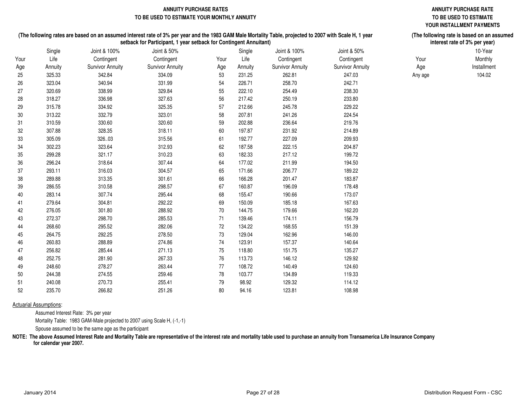#### **ANNUITY PURCHASE RATES ANNUITY PURCHASE RATE TO BE USED TO ESTIMATE YOUR MONTHLY ANNUITY TO BE USED TO ESTIMATE**

# **YOUR INSTALLMENT PAYMENTS**

**(The following rate is based on an assumed interest rate of 3% per year)**

#### **(The following rates are based on an assumed interest rate of 3% per year and the 1983 GAM Male Mortality Table, projected to 2007 with Scale H, 1 year setback for Participant, 1 year setback for Contingent Annuitant)**

|      | Single  | Joint & 100%            | Joint & 50%             |        | Single  | Joint & 100%            | Joint & 50%             |         | 10-Year     |
|------|---------|-------------------------|-------------------------|--------|---------|-------------------------|-------------------------|---------|-------------|
| Your | Life    | Contingent              | Contingent              | Your   | Life    | Contingent              | Contingent              | Your    | Monthly     |
| Age  | Annuity | <b>Survivor Annuity</b> | <b>Survivor Annuity</b> | Age    | Annuity | <b>Survivor Annuity</b> | <b>Survivor Annuity</b> | Age     | Installment |
| 25   | 325.33  | 342.84                  | 334.09                  | 53     | 231.25  | 262.81                  | 247.03                  | Any age | 104.02      |
| 26   | 323.04  | 340.94                  | 331.99                  | 54     | 226.71  | 258.70                  | 242.71                  |         |             |
| 27   | 320.69  | 338.99                  | 329.84                  | 55     | 222.10  | 254.49                  | 238.30                  |         |             |
| 28   | 318.27  | 336.98                  | 327.63                  | 56     | 217.42  | 250.19                  | 233.80                  |         |             |
| 29   | 315.78  | 334.92                  | 325.35                  | 57     | 212.66  | 245.78                  | 229.22                  |         |             |
| 30   | 313.22  | 332.79                  | 323.01                  | 58     | 207.81  | 241.26                  | 224.54                  |         |             |
| 31   | 310.59  | 330.60                  | 320.60                  | 59     | 202.88  | 236.64                  | 219.76                  |         |             |
| 32   | 307.88  | 328.35                  | 318.11                  | 60     | 197.87  | 231.92                  | 214.89                  |         |             |
| 33   | 305.09  | 326.03                  | 315.56                  | 61     | 192.77  | 227.09                  | 209.93                  |         |             |
| 34   | 302.23  | 323.64                  | 312.93                  | 62     | 187.58  | 222.15                  | 204.87                  |         |             |
| 35   | 299.28  | 321.17                  | 310.23                  | 63     | 182.33  | 217.12                  | 199.72                  |         |             |
| 36   | 296.24  | 318.64                  | 307.44                  | 64     | 177.02  | 211.99                  | 194.50                  |         |             |
| 37   | 293.11  | 316.03                  | 304.57                  | 65     | 171.66  | 206.77                  | 189.22                  |         |             |
| 38   | 289.88  | 313.35                  | 301.61                  | 66     | 166.28  | 201.47                  | 183.87                  |         |             |
| 39   | 286.55  | 310.58                  | 298.57                  | 67     | 160.87  | 196.09                  | 178.48                  |         |             |
| 40   | 283.14  | 307.74                  | 295.44                  | 68     | 155.47  | 190.66                  | 173.07                  |         |             |
| 41   | 279.64  | 304.81                  | 292.22                  | 69     | 150.09  | 185.18                  | 167.63                  |         |             |
| 42   | 276.05  | 301.80                  | 288.92                  | $70\,$ | 144.75  | 179.66                  | 162.20                  |         |             |
| 43   | 272.37  | 298.70                  | 285.53                  | 71     | 139.46  | 174.11                  | 156.79                  |         |             |
| 44   | 268.60  | 295.52                  | 282.06                  | 72     | 134.22  | 168.55                  | 151.39                  |         |             |
| 45   | 264.75  | 292.25                  | 278.50                  | 73     | 129.04  | 162.96                  | 146.00                  |         |             |
| 46   | 260.83  | 288.89                  | 274.86                  | 74     | 123.91  | 157.37                  | 140.64                  |         |             |
| 47   | 256.82  | 285.44                  | 271.13                  | 75     | 118.80  | 151.75                  | 135.27                  |         |             |
| 48   | 252.75  | 281.90                  | 267.33                  | 76     | 113.73  | 146.12                  | 129.92                  |         |             |
| 49   | 248.60  | 278.27                  | 263.44                  | 77     | 108.72  | 140.49                  | 124.60                  |         |             |
| 50   | 244.38  | 274.55                  | 259.46                  | 78     | 103.77  | 134.89                  | 119.33                  |         |             |
| 51   | 240.08  | 270.73                  | 255.41                  | 79     | 98.92   | 129.32                  | 114.12                  |         |             |
| 52   | 235.70  | 266.82                  | 251.26                  | 80     | 94.16   | 123.81                  | 108.98                  |         |             |
|      |         |                         |                         |        |         |                         |                         |         |             |

#### **Actuarial Assumptions:** Assumed Interest Rate: 3% per year

Mortality Table: 1983 GAM-Male projected to 2007 using Scale H, (-1,-1)

Spouse assumed to be the same age as the participant

**NOTE: The above Assumed Interest Rate and Mortality Table are representative of the interest rate and mortality table used to purchase an annuity from Transamerica Life Insurance Company for calendar year 2007.**